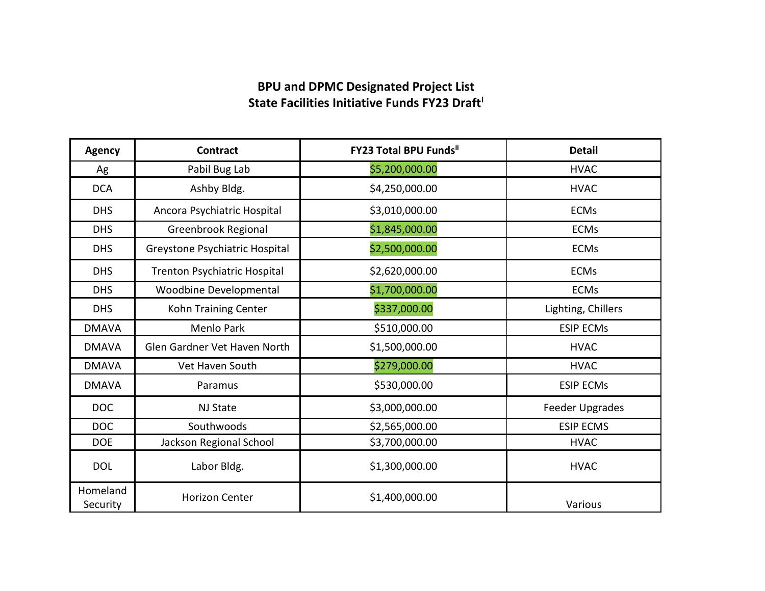## **BPU and DPMC Designated Project List State Facilities Initiative Funds FY23 Draf[ti](#page-1-0)**

| <b>Agency</b>        | <b>Contract</b>                | <b>FY23 Total BPU Fundsil</b> | <b>Detail</b>      |
|----------------------|--------------------------------|-------------------------------|--------------------|
| Ag                   | Pabil Bug Lab                  | \$5,200,000.00                | <b>HVAC</b>        |
| <b>DCA</b>           | Ashby Bldg.                    | \$4,250,000.00                | <b>HVAC</b>        |
| <b>DHS</b>           | Ancora Psychiatric Hospital    | \$3,010,000.00                | <b>ECMs</b>        |
| <b>DHS</b>           | Greenbrook Regional            | \$1,845,000.00                | <b>ECMs</b>        |
| <b>DHS</b>           | Greystone Psychiatric Hospital | \$2,500,000.00                | <b>ECMs</b>        |
| <b>DHS</b>           | Trenton Psychiatric Hospital   | \$2,620,000.00                | <b>ECMs</b>        |
| <b>DHS</b>           | <b>Woodbine Developmental</b>  | \$1,700,000.00                | <b>ECMs</b>        |
| <b>DHS</b>           | Kohn Training Center           | \$337,000.00                  | Lighting, Chillers |
| <b>DMAVA</b>         | <b>Menlo Park</b>              | \$510,000.00                  | <b>ESIP ECMs</b>   |
| <b>DMAVA</b>         | Glen Gardner Vet Haven North   | \$1,500,000.00                | <b>HVAC</b>        |
| <b>DMAVA</b>         | Vet Haven South                | \$279,000.00                  | <b>HVAC</b>        |
| <b>DMAVA</b>         | Paramus                        | \$530,000.00                  | <b>ESIP ECMs</b>   |
| <b>DOC</b>           | NJ State                       | \$3,000,000.00                | Feeder Upgrades    |
| <b>DOC</b>           | Southwoods                     | \$2,565,000.00                | <b>ESIP ECMS</b>   |
| <b>DOE</b>           | Jackson Regional School        | \$3,700,000.00                | <b>HVAC</b>        |
| <b>DOL</b>           | Labor Bldg.                    | \$1,300,000.00                | <b>HVAC</b>        |
| Homeland<br>Security | <b>Horizon Center</b>          | \$1,400,000.00                | Various            |